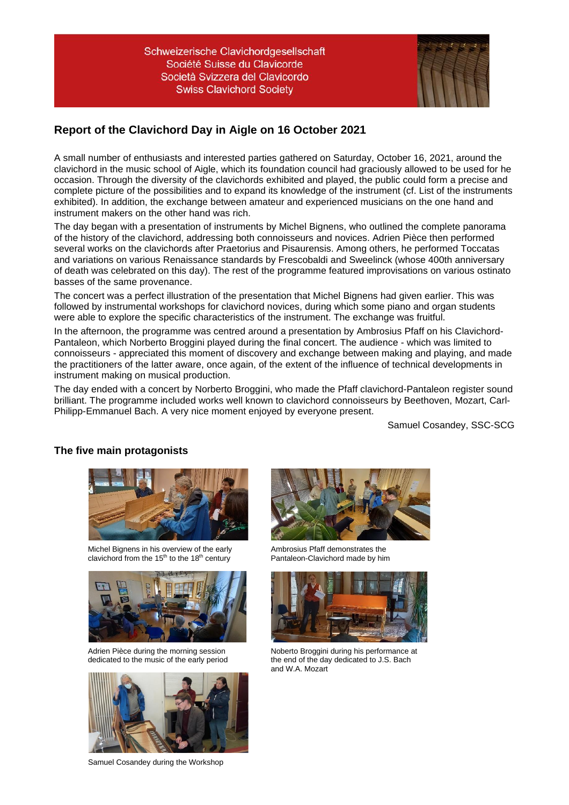

## **Report of the Clavichord Day in Aigle on 16 October 2021**

A small number of enthusiasts and interested parties gathered on Saturday, October 16, 2021, around the clavichord in the music school of Aigle, which its foundation council had graciously allowed to be used for he occasion. Through the diversity of the clavichords exhibited and played, the public could form a precise and complete picture of the possibilities and to expand its knowledge of the instrument (cf. List of the instruments exhibited). In addition, the exchange between amateur and experienced musicians on the one hand and instrument makers on the other hand was rich.

The day began with a presentation of instruments by Michel Bignens, who outlined the complete panorama of the history of the clavichord, addressing both connoisseurs and novices. Adrien Pièce then performed several works on the clavichords after Praetorius and Pisaurensis. Among others, he performed Toccatas and variations on various Renaissance standards by Frescobaldi and Sweelinck (whose 400th anniversary of death was celebrated on this day). The rest of the programme featured improvisations on various ostinato basses of the same provenance.

The concert was a perfect illustration of the presentation that Michel Bignens had given earlier. This was followed by instrumental workshops for clavichord novices, during which some piano and organ students were able to explore the specific characteristics of the instrument. The exchange was fruitful.

In the afternoon, the programme was centred around a presentation by Ambrosius Pfaff on his Clavichord-Pantaleon, which Norberto Broggini played during the final concert. The audience - which was limited to connoisseurs - appreciated this moment of discovery and exchange between making and playing, and made the practitioners of the latter aware, once again, of the extent of the influence of technical developments in instrument making on musical production.

The day ended with a concert by Norberto Broggini, who made the Pfaff clavichord-Pantaleon register sound brilliant. The programme included works well known to clavichord connoisseurs by Beethoven, Mozart, Carl-Philipp-Emmanuel Bach. A very nice moment enjoyed by everyone present.

Samuel Cosandey, SSC-SCG

## **The five main protagonists**



Michel Bignens in his overview of the early clavichord from the 15<sup>th</sup> to the 18<sup>th</sup> century



Adrien Pièce during the morning session dedicated to the music of the early period



Samuel Cosandey during the Workshop



Ambrosius Pfaff demonstrates the Pantaleon-Clavichord made by him



Noberto Broggini during his performance at the end of the day dedicated to J.S. Bach and W.A. Mozart